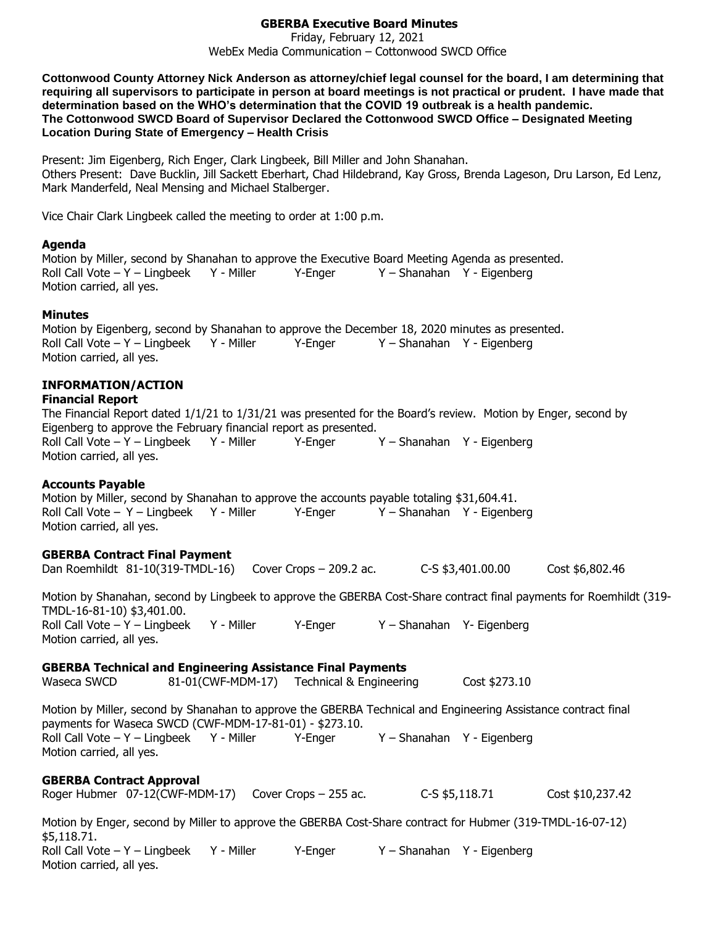# **GBERBA Executive Board Minutes**

Friday, February 12, 2021 WebEx Media Communication – Cottonwood SWCD Office

**Cottonwood County Attorney Nick Anderson as attorney/chief legal counsel for the board, I am determining that requiring all supervisors to participate in person at board meetings is not practical or prudent. I have made that determination based on the WHO's determination that the COVID 19 outbreak is a health pandemic. The Cottonwood SWCD Board of Supervisor Declared the Cottonwood SWCD Office – Designated Meeting Location During State of Emergency – Health Crisis**

Present: Jim Eigenberg, Rich Enger, Clark Lingbeek, Bill Miller and John Shanahan. Others Present: Dave Bucklin, Jill Sackett Eberhart, Chad Hildebrand, Kay Gross, Brenda Lageson, Dru Larson, Ed Lenz, Mark Manderfeld, Neal Mensing and Michael Stalberger.

Vice Chair Clark Lingbeek called the meeting to order at 1:00 p.m.

#### **Agenda**

Motion by Miller, second by Shanahan to approve the Executive Board Meeting Agenda as presented. Roll Call Vote – Y – Lingbeek Y - Miller Y-Enger Y – Shanahan Y - Eigenberg Motion carried, all yes.

### **Minutes**

Motion by Eigenberg, second by Shanahan to approve the December 18, 2020 minutes as presented. Roll Call Vote – Y – Lingbeek Y - Miller Y - Enger Y – Shanahan Y - Eigenberg Motion carried, all yes.

## **INFORMATION/ACTION**

### **Financial Report**

The Financial Report dated 1/1/21 to 1/31/21 was presented for the Board's review. Motion by Enger, second by Eigenberg to approve the February financial report as presented. Roll Call Vote – Y – Lingbeek Y - Miller Y-Enger Y – Shanahan Y - Eigenberg Motion carried, all yes.

### **Accounts Payable**

Motion by Miller, second by Shanahan to approve the accounts payable totaling \$31,604.41. Roll Call Vote – Y – Lingbeek Y - Miller Y-Enger Y – Shanahan Y - Eigenberg Motion carried, all yes.

### **GBERBA Contract Final Payment**

Dan Roemhildt 81-10(319-TMDL-16) Cover Crops – 209.2 ac. C-S \$3,401.00.00 Cost \$6,802.46

Motion by Shanahan, second by Lingbeek to approve the GBERBA Cost-Share contract final payments for Roemhildt (319- TMDL-16-81-10) \$3,401.00. Roll Call Vote – Y – Lingbeek Y - Miller Y - Enger Y – Shanahan Y - Eigenberg Motion carried, all yes.

### **GBERBA Technical and Engineering Assistance Final Payments**

Waseca SWCD 81-01(CWF-MDM-17) Technical & Engineering Cost \$273.10 Motion by Miller, second by Shanahan to approve the GBERBA Technical and Engineering Assistance contract final payments for Waseca SWCD (CWF-MDM-17-81-01) - \$273.10. Roll Call Vote – Y – Lingbeek Y - Miller Y - Enger Y – Shanahan Y - Eigenberg Motion carried, all yes.

### **GBERBA Contract Approval**

|  |  | Roger Hubmer 07-12(CWF-MDM-17) Cover Crops - 255 ac. | C-S \$5,118.71 | Cost \$10,237.42 |
|--|--|------------------------------------------------------|----------------|------------------|
|--|--|------------------------------------------------------|----------------|------------------|

Motion by Enger, second by Miller to approve the GBERBA Cost-Share contract for Hubmer (319-TMDL-16-07-12) \$5,118.71. Roll Call Vote – Y – Lingbeek Y - Miller Y-Enger Y – Shanahan Y - Eigenberg Motion carried, all yes.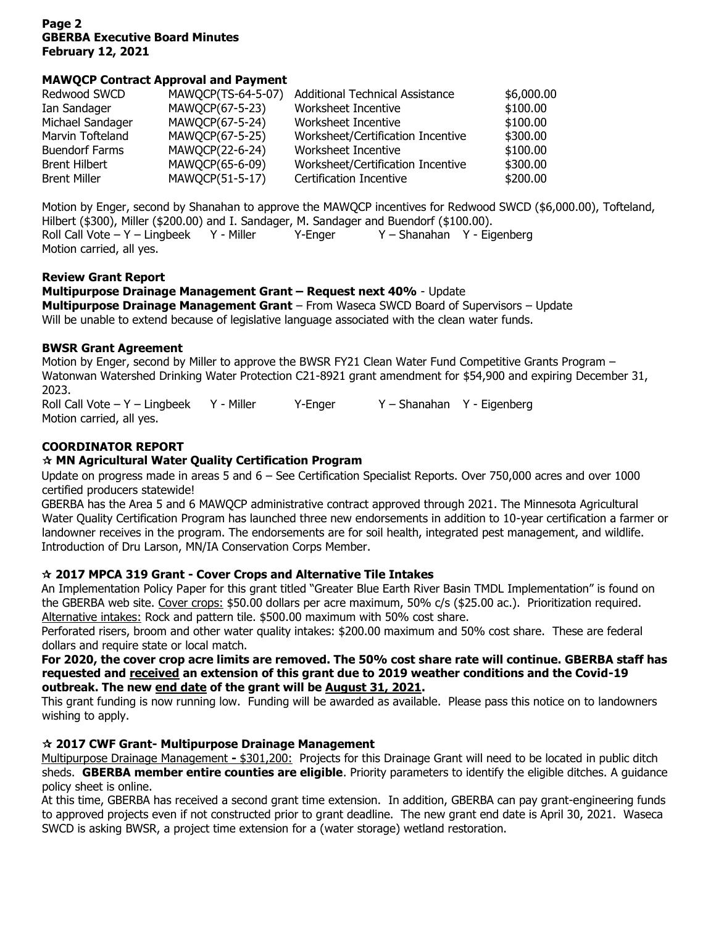# **Page 2 GBERBA Executive Board Minutes February 12, 2021**

# **MAWQCP Contract Approval and Payment**

| Redwood SWCD          | MAWQCP(TS-64-5-07) | <b>Additional Technical Assistance</b> | \$6,000.00 |
|-----------------------|--------------------|----------------------------------------|------------|
| Ian Sandager          | MAWQCP(67-5-23)    | Worksheet Incentive                    | \$100.00   |
| Michael Sandager      | MAWQCP(67-5-24)    | Worksheet Incentive                    | \$100.00   |
| Marvin Tofteland      | MAWQCP(67-5-25)    | Worksheet/Certification Incentive      | \$300.00   |
| <b>Buendorf Farms</b> | MAWQCP(22-6-24)    | Worksheet Incentive                    | \$100.00   |
| <b>Brent Hilbert</b>  | MAWQCP(65-6-09)    | Worksheet/Certification Incentive      | \$300.00   |
| <b>Brent Miller</b>   | MAWQCP(51-5-17)    | <b>Certification Incentive</b>         | \$200.00   |

Motion by Enger, second by Shanahan to approve the MAWQCP incentives for Redwood SWCD (\$6,000.00), Tofteland, Hilbert (\$300), Miller (\$200.00) and I. Sandager, M. Sandager and Buendorf (\$100.00). Roll Call Vote – Y – Lingbeek Y - Miller Y-Enger Y – Shanahan Y - Eigenberg Motion carried, all yes.

## **Review Grant Report**

**Multipurpose Drainage Management Grant – Request next 40%** - Update **Multipurpose Drainage Management Grant** – From Waseca SWCD Board of Supervisors – Update Will be unable to extend because of legislative language associated with the clean water funds.

# **BWSR Grant Agreement**

Motion by Enger, second by Miller to approve the BWSR FY21 Clean Water Fund Competitive Grants Program – Watonwan Watershed Drinking Water Protection C21-8921 grant amendment for \$54,900 and expiring December 31, 2023.

Roll Call Vote – Y – Lingbeek Y - Miller Y-Enger Y – Shanahan Y - Eigenberg Motion carried, all yes.

# **COORDINATOR REPORT**

# **MN Agricultural Water Quality Certification Program**

Update on progress made in areas 5 and 6 – See Certification Specialist Reports. Over 750,000 acres and over 1000 certified producers statewide!

GBERBA has the Area 5 and 6 MAWQCP administrative contract approved through 2021. The Minnesota Agricultural Water Quality Certification Program has launched three new endorsements in addition to 10-year certification a farmer or landowner receives in the program. The endorsements are for soil health, integrated pest management, and wildlife. Introduction of Dru Larson, MN/IA Conservation Corps Member.

# **2017 MPCA 319 Grant - Cover Crops and Alternative Tile Intakes**

An Implementation Policy Paper for this grant titled "Greater Blue Earth River Basin TMDL Implementation" is found on the GBERBA web site. Cover crops: \$50.00 dollars per acre maximum, 50% c/s (\$25.00 ac.). Prioritization required. Alternative intakes: Rock and pattern tile. \$500.00 maximum with 50% cost share.

Perforated risers, broom and other water quality intakes: \$200.00 maximum and 50% cost share. These are federal dollars and require state or local match.

### **For 2020, the cover crop acre limits are removed. The 50% cost share rate will continue. GBERBA staff has requested and received an extension of this grant due to 2019 weather conditions and the Covid-19 outbreak. The new end date of the grant will be August 31, 2021.**

This grant funding is now running low. Funding will be awarded as available. Please pass this notice on to landowners wishing to apply.

# **2017 CWF Grant- Multipurpose Drainage Management**

Multipurpose Drainage Management **-** \$301,200: Projects for this Drainage Grant will need to be located in public ditch sheds. **GBERBA member entire counties are eligible**. Priority parameters to identify the eligible ditches. A guidance policy sheet is online.

At this time, GBERBA has received a second grant time extension. In addition, GBERBA can pay grant-engineering funds to approved projects even if not constructed prior to grant deadline. The new grant end date is April 30, 2021. Waseca SWCD is asking BWSR, a project time extension for a (water storage) wetland restoration.